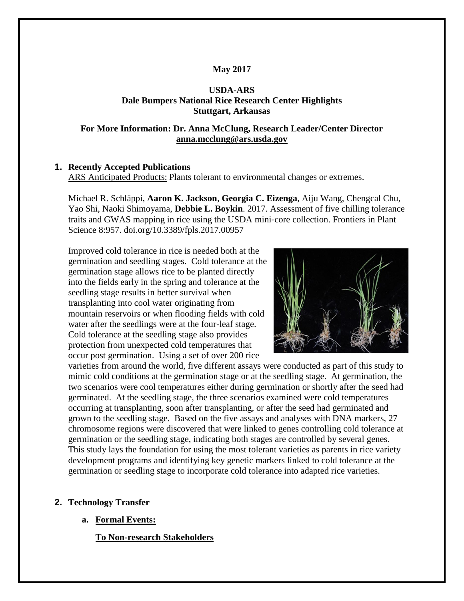## **May 2017**

## **USDA-ARS Dale Bumpers National Rice Research Center Highlights Stuttgart, Arkansas**

### **For More Information: Dr. Anna McClung, Research Leader/Center Director [anna.mcclung@ars.usda.gov](mailto:anna.mcclung@ars.usda.gov)**

## **1. Recently Accepted Publications**

ARS Anticipated Products: Plants tolerant to environmental changes or extremes.

Michael R. Schläppi, **Aaron K. Jackson**, **Georgia C. Eizenga**, Aiju Wang, Chengcal Chu, Yao Shi, Naoki Shimoyama, **Debbie L. Boykin**. 2017. Assessment of five chilling tolerance traits and GWAS mapping in rice using the USDA mini‐core collection. Frontiers in Plant Science 8:957. doi.org/10.3389/fpls.2017.00957

Improved cold tolerance in rice is needed both at the germination and seedling stages. Cold tolerance at the germination stage allows rice to be planted directly into the fields early in the spring and tolerance at the seedling stage results in better survival when transplanting into cool water originating from mountain reservoirs or when flooding fields with cold water after the seedlings were at the four-leaf stage. Cold tolerance at the seedling stage also provides protection from unexpected cold temperatures that occur post germination. Using a set of over 200 rice



varieties from around the world, five different assays were conducted as part of this study to mimic cold conditions at the germination stage or at the seedling stage. At germination, the two scenarios were cool temperatures either during germination or shortly after the seed had germinated. At the seedling stage, the three scenarios examined were cold temperatures occurring at transplanting, soon after transplanting, or after the seed had germinated and grown to the seedling stage. Based on the five assays and analyses with DNA markers, 27 chromosome regions were discovered that were linked to genes controlling cold tolerance at germination or the seedling stage, indicating both stages are controlled by several genes. This study lays the foundation for using the most tolerant varieties as parents in rice variety development programs and identifying key genetic markers linked to cold tolerance at the germination or seedling stage to incorporate cold tolerance into adapted rice varieties.

#### **2. Technology Transfer**

**a. Formal Events:**

**To Non-research Stakeholders**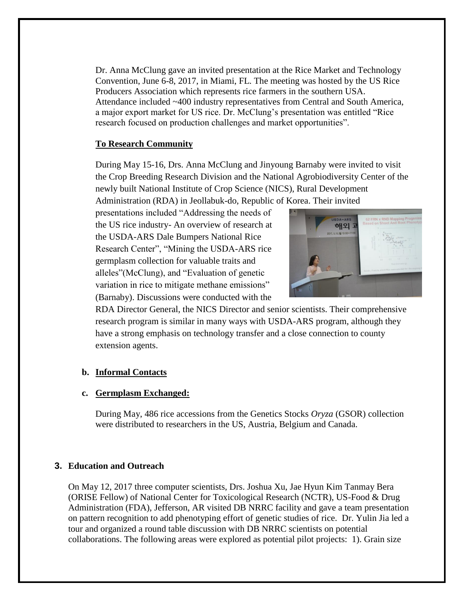Dr. Anna McClung gave an invited presentation at the Rice Market and Technology Convention, June 6-8, 2017, in Miami, FL. The meeting was hosted by the US Rice Producers Association which represents rice farmers in the southern USA. Attendance included ~400 industry representatives from Central and South America, a major export market for US rice. Dr. McClung's presentation was entitled "Rice research focused on production challenges and market opportunities".

## **To Research Community**

During May 15-16, Drs. Anna McClung and Jinyoung Barnaby were invited to visit the Crop Breeding Research Division and the National Agrobiodiversity Center of the newly built National Institute of Crop Science (NICS), Rural Development Administration (RDA) in Jeollabuk-do, Republic of Korea. Their invited

presentations included "Addressing the needs of the US rice industry- An overview of research at the USDA-ARS Dale Bumpers National Rice Research Center", "Mining the USDA-ARS rice germplasm collection for valuable traits and alleles"(McClung), and "Evaluation of genetic variation in rice to mitigate methane emissions" (Barnaby). Discussions were conducted with the



RDA Director General, the NICS Director and senior scientists. Their comprehensive research program is similar in many ways with USDA-ARS program, although they have a strong emphasis on technology transfer and a close connection to county extension agents.

# **b. Informal Contacts**

#### **c. Germplasm Exchanged:**

During May, 486 rice accessions from the Genetics Stocks *Oryza* (GSOR) collection were distributed to researchers in the US, Austria, Belgium and Canada.

#### **3. Education and Outreach**

On May 12, 2017 three computer scientists, Drs. Joshua Xu, Jae Hyun Kim Tanmay Bera (ORISE Fellow) of National Center for Toxicological Research (NCTR), US-Food & Drug Administration (FDA), Jefferson, AR visited DB NRRC facility and gave a team presentation on pattern recognition to add phenotyping effort of genetic studies of rice. Dr. Yulin Jia led a tour and organized a round table discussion with DB NRRC scientists on potential collaborations. The following areas were explored as potential pilot projects: 1). Grain size